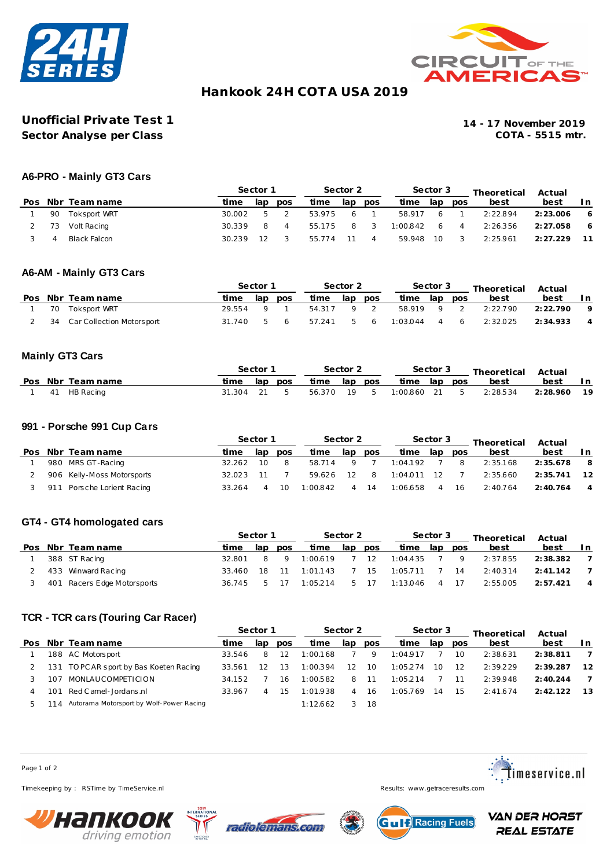



# **Hankook 24H COT A USA 2019**

# **Unofficial Private Test 1 14 - 17 November 2019 Sector Analyse per Class**

## **A6-PRO - Mainly GT3 Cars**

|  |    |                   | Sector 1 |     | Sector 2       |        |     | Sector 3 |          |      | Theoretical | Actual   |           |     |
|--|----|-------------------|----------|-----|----------------|--------|-----|----------|----------|------|-------------|----------|-----------|-----|
|  |    | Pos Nbr Team name | time     | lap | pos            | time   | lap | pos      | time     | lap  | pos         | best     | best      | l n |
|  | 90 | Toksport WRT      | 30.002   | 5.  | $\overline{2}$ | 53.975 | 6   |          | 58.917   | - 6  |             | 2:22.894 | 2: 23.006 | - 6 |
|  |    | 73 Volt Racing    | 30.339   |     | $\overline{A}$ | 55.175 | 8   | - 3      | 1:00.842 | 6    | 4           | 2:26.356 | 2:27.058  | - 6 |
|  |    | Black Falcon      | 30.239   |     |                | 55.774 |     | 4        | 59.948   | - 10 |             | 2:25.961 | 2: 27.229 |     |

## **A6-AM - Mainly GT3 Cars**

|  |                              | Sector 1 |              |     | Sector 2  |     |     |              | Sector 3 |     | Theoretical Actual |           |                |
|--|------------------------------|----------|--------------|-----|-----------|-----|-----|--------------|----------|-----|--------------------|-----------|----------------|
|  | Pos Nbr Team name            | time     | lap          | pos | time      | lap | pos | time lap     |          | pos | best               | best      | l n            |
|  | 70 Toksport WRT              | 29.554   | $\sqrt{9}$ 1 |     | 54317 9 2 |     |     | 58.919 9 2   |          |     | 2:22.790           | 2: 22.790 | - 9            |
|  | 34 Car Collection Motorsport | 31.740   |              | 56  | 57.241    |     |     | 5 6 1:03.044 |          |     | 4 6 2:32.025       | 2: 34.933 | $\overline{4}$ |

### **Mainly GT3 Cars**

|    |                   | Sector 1    |  |         | Sector 2     |  |  | Sector 3     |  |  | Theoretical Actual                 |             |  |
|----|-------------------|-------------|--|---------|--------------|--|--|--------------|--|--|------------------------------------|-------------|--|
|    | Pos Nbr Team name | time        |  | lap pos | time lap pos |  |  | time lap pos |  |  | best                               | best        |  |
| 41 | HB Racing         | 31.304 21 5 |  |         |              |  |  |              |  |  | 56.370 19 5 1:00.860 21 5 2:28.534 | 2:28.960 19 |  |

#### **991 - Porsche 991 Cup Cars**

|     |     |                            | Sector 1 |                   |            |         | Sector 2        |            |               | Sector 3          |     | Theoretical | Actual   |                |  |
|-----|-----|----------------------------|----------|-------------------|------------|---------|-----------------|------------|---------------|-------------------|-----|-------------|----------|----------------|--|
| Pos |     | Nbr Team name              | ti me    | lap               | <b>DOS</b> | time    | lap             | <b>DOS</b> | time          | lap               | pos | best        | best     | In.            |  |
|     |     | 980 MRS GT-Racing          | 32.262   | 10                |            | 58.714  | <b>Q</b>        |            | 1:04.192      |                   | - 8 | 2:35.168    | 2:35.678 | - 8            |  |
|     |     | 906 Kelly-Moss Motorsports | 32.023   | 11                |            | 59.626  | 12 <sub>1</sub> | - 8        | $1:04.011$ 12 |                   |     | 2:35.660    | 2:35.741 | 12             |  |
|     | 911 | 1 Porsche Lorient Racing   | 33.264   | $\mathbf{\Delta}$ | 10         | 1.00842 |                 | 14         | 1:06.658      | $\mathbf{\Delta}$ | 16  | 2:40.764    | 2:40.764 | $\overline{4}$ |  |

### **GT4 - GT4 homologated cars**

|  |                             | Sector 1 |     | Sector 2 |          |     | Sector 3 |          |               | Theoretical | Actual   |           |                |
|--|-----------------------------|----------|-----|----------|----------|-----|----------|----------|---------------|-------------|----------|-----------|----------------|
|  | Pos Nbr Team name           | time     | lap | pos      | time     | lap | pos      | time     | lap           | pos         | best     | best      | In.            |
|  | 388 ST Racing               | 32.801   | 8   | Q        | 1:00.619 |     | 12       | 1:04.435 |               | 9           | 2:37.855 | 2:38.382  |                |
|  | 433 Winward Racing          | 33.460   | 18  | 11       | 1:01.143 |     | 15       | 1:05.711 |               | 14          | 2:40.314 | 2: 41.142 |                |
|  | 401 Racers Edge Motorsports | 36 745   | ь.  |          | 1:05.214 | b   | 17       | 1:13.046 | $\mathcal{A}$ | 17          | 2:55.005 | 2:57.421  | $\overline{4}$ |

# **TCR - TCR cars (Touring Car Racer)**

|     |     |                                          | Sector 1 |     |            | Sector 2 |     |      | Sector 3 |     |     | Theoretical | Actual    |     |  |
|-----|-----|------------------------------------------|----------|-----|------------|----------|-----|------|----------|-----|-----|-------------|-----------|-----|--|
| Pos |     | Nbr Team name                            | time     | lap | <b>DOS</b> | time     | lap | pos  | time     | lap | pos | best        | best      | In. |  |
|     |     | 188 AC Motorsport                        | 33.546   | 8   | 12         | 1:00.168 |     | 9    | 1:04.917 |     | 10  | 2:38.631    | 2:38.811  |     |  |
|     |     | 131 TOPCAR sport by Bas Koeten Racing    | 33.561   |     | 13         | 1:00.394 | 12  | 10   | 1:05.274 | 10  | 12  | 2:39.229    | 2:39.287  | 12  |  |
|     | 107 | MONLAUCOMPETICION                        | 34.152   |     | 16         | 1:00.582 | 8   | - 11 | 1:05.214 |     | 11  | 2:39.948    | 2: 40.244 |     |  |
|     | 101 | Red C amel - Jordans .nl                 | 33.967   |     | 15         | 1:01.938 | 4   | -16  | 1:05.769 | 14  | 15  | 2:41.674    | 2:42.122  | 13  |  |
|     |     | Autorama Motorsport by Wolf-Power Racing |          |     |            | 1:12.662 |     | -18  |          |     |     |             |           |     |  |

Page 1 of 2

Timekeeping by : RSTime by TimeService.nl Results: www.getraceresults.com









**VAN DER HORST REAL ESTATE**